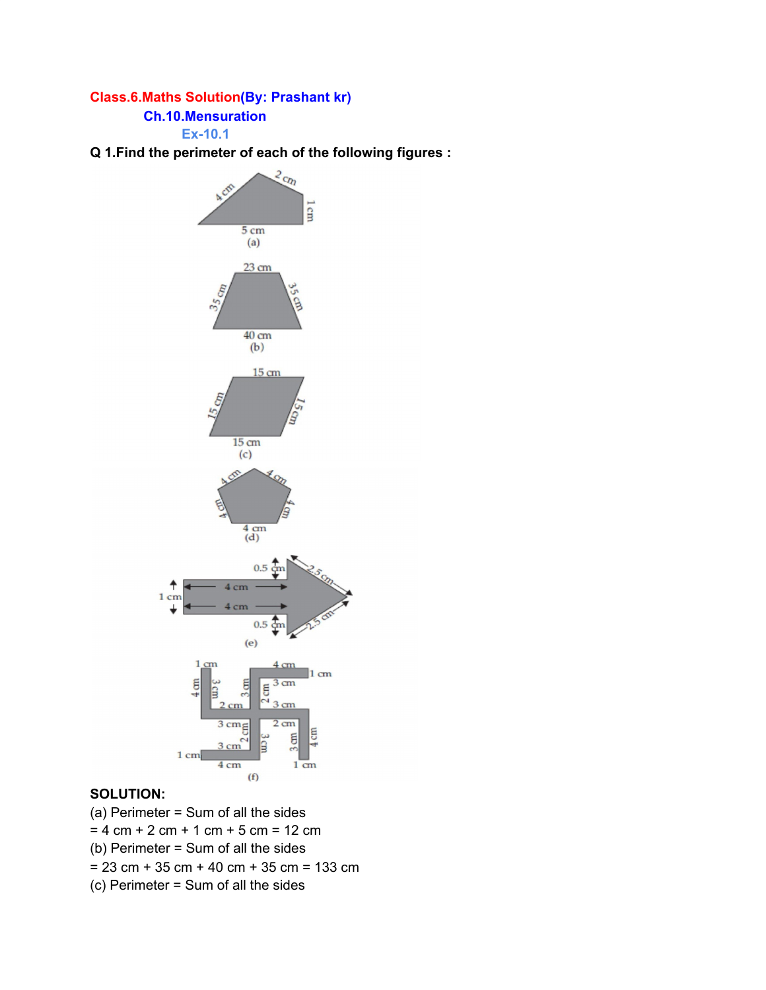### **Class.6.Maths Solution(By: Prashant kr)**

#### **Ch.10.Mensuration**

**Ex-10.1**

**Q 1.Find the perimeter of each of the following figures :**



### **SOLUTION:**

(a) Perimeter = Sum of all the sides  $= 4$  cm + 2 cm + 1 cm + 5 cm = 12 cm (b) Perimeter = Sum of all the sides  $= 23$  cm + 35 cm + 40 cm + 35 cm = 133 cm (c) Perimeter = Sum of all the sides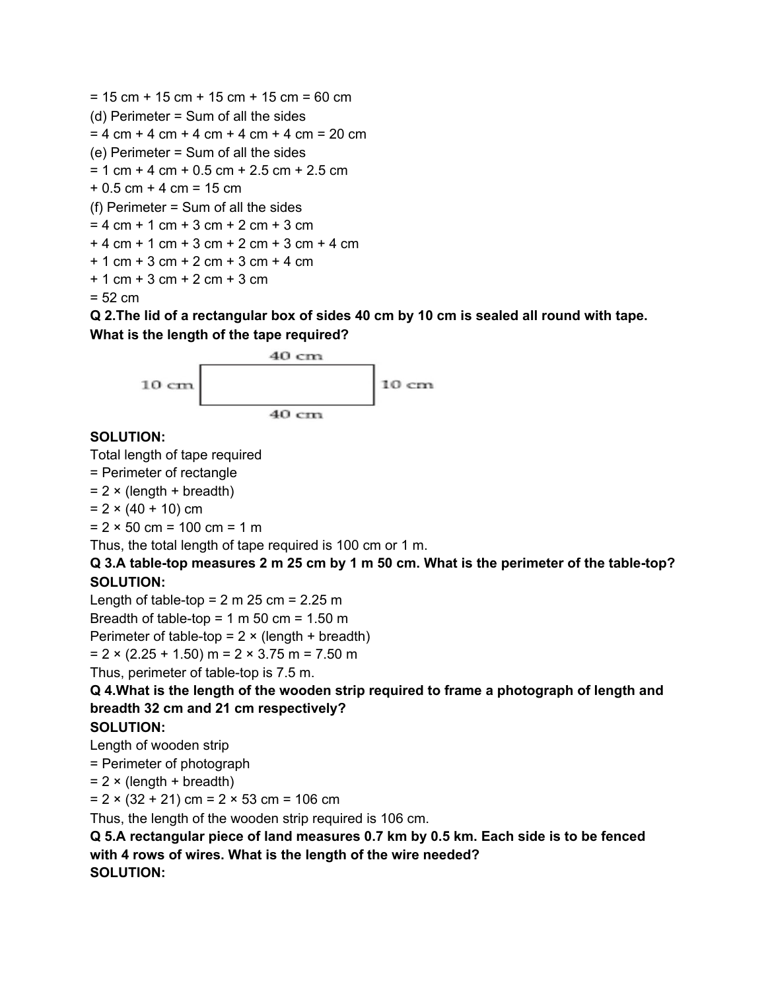```
= 15 cm + 15 cm + 15 cm + 15 cm = 60 cm
(d) Perimeter = Sum of all the sides
= 4 cm + 4 cm + 4 cm + 4 cm + 4 cm = 20 cm
(e) Perimeter = Sum of all the sides
= 1 cm + 4 cm + 0.5 cm + 2.5 cm + 2.5 cm
+0.5 cm +4 cm = 15 cm
(f) Perimeter = Sum of all the sides
= 4 cm + 1 cm + 3 cm + 2 cm + 3 cm
+ 4 cm + 1 cm + 3 cm + 2 cm + 3 cm + 4 cm
+ 1 cm + 3 cm + 2 cm + 3 cm + 4 cm
+ 1 cm + 3 cm + 2 cm + 3 cm
= 52 cm
```
Q 2. The lid of a rectangular box of sides 40 cm by 10 cm is sealed all round with tape. **What is the length of the tape required?**



### **SOLUTION:**

Total length of tape required

= Perimeter of rectangle

 $= 2 \times (length + breadth)$ 

 $= 2 \times (40 + 10)$  cm

 $= 2 \times 50$  cm = 100 cm = 1 m

Thus, the total length of tape required is 100 cm or 1 m.

### Q 3.A table-top measures 2 m 25 cm by 1 m 50 cm. What is the perimeter of the table-top? **SOLUTION:**

Length of table-top =  $2 \text{ m } 25 \text{ cm} = 2.25 \text{ m}$ 

Breadth of table-top =  $1 \text{ m } 50 \text{ cm} = 1.50 \text{ m}$ 

Perimeter of table-top =  $2 \times$  (length + breadth)

 $= 2 \times (2.25 + 1.50)$  m = 2  $\times$  3.75 m = 7.50 m

Thus, perimeter of table-top is 7.5 m.

**Q 4.What is the length of the wooden strip required to frame a photograph of length and breadth 32 cm and 21 cm respectively?**

### **SOLUTION:**

Length of wooden strip

= Perimeter of photograph

 $= 2 \times (length + breadth)$ 

 $= 2 \times (32 + 21)$  cm =  $2 \times 53$  cm = 106 cm

Thus, the length of the wooden strip required is 106 cm.

**Q 5.A rectangular piece of land measures 0.7 km by 0.5 km. Each side is to be fenced with 4 rows of wires. What is the length of the wire needed? SOLUTION:**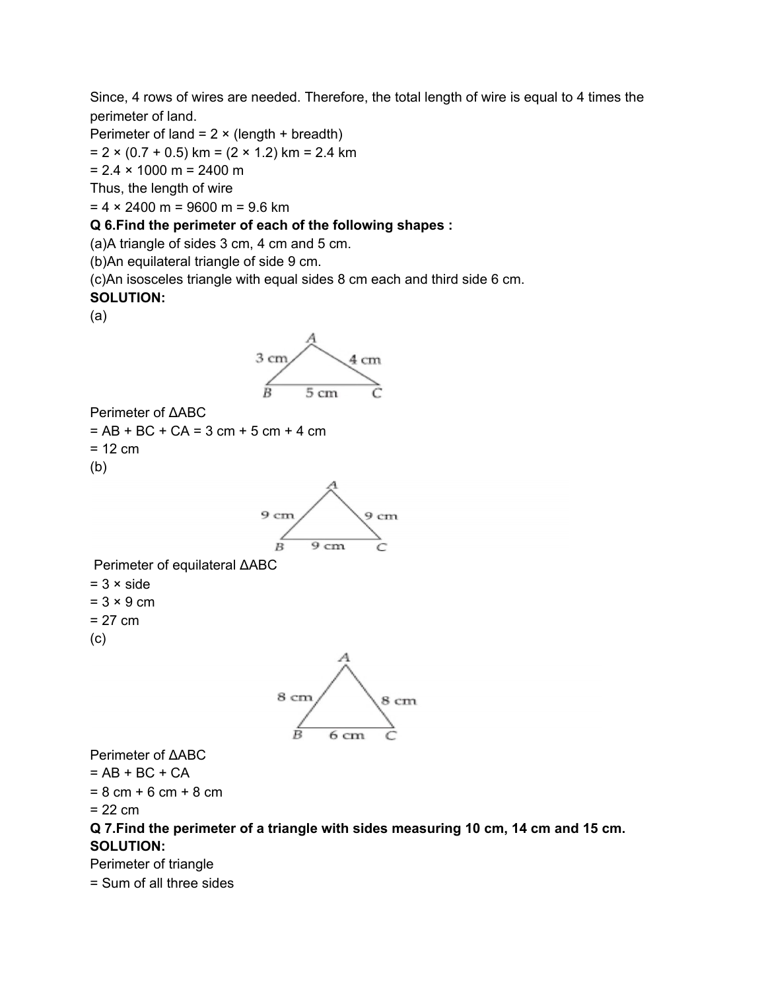Since, 4 rows of wires are needed. Therefore, the total length of wire is equal to 4 times the perimeter of land.

Perimeter of land =  $2 \times (length + breadth)$ 

 $= 2 \times (0.7 + 0.5)$  km =  $(2 \times 1.2)$  km = 2.4 km

 $= 2.4 \times 1000$  m = 2400 m

Thus, the length of wire

 $= 4 \times 2400$  m = 9600 m = 9.6 km

#### **Q 6.Find the perimeter of each of the following shapes :**

(a)A triangle of sides 3 cm, 4 cm and 5 cm.

(b)An equilateral triangle of side 9 cm.

(c)An isosceles triangle with equal sides 8 cm each and third side 6 cm.

#### **SOLUTION:**

(a)



Perimeter of ΔABC  $= AB + BC + CA = 3 cm + 5 cm + 4 cm$  $= 12$  cm (b)



Perimeter of equilateral ΔABC  $= 3 \times side$ 

 $= 3 \times 9$  cm  $= 27$  cm

(c)



Perimeter of ΔABC

 $= AB + BC + CA$ 

 $= 8$  cm + 6 cm + 8 cm

 $= 22$  cm

### **Q 7.Find the perimeter of a triangle with sides measuring 10 cm, 14 cm and 15 cm. SOLUTION:**

Perimeter of triangle

= Sum of all three sides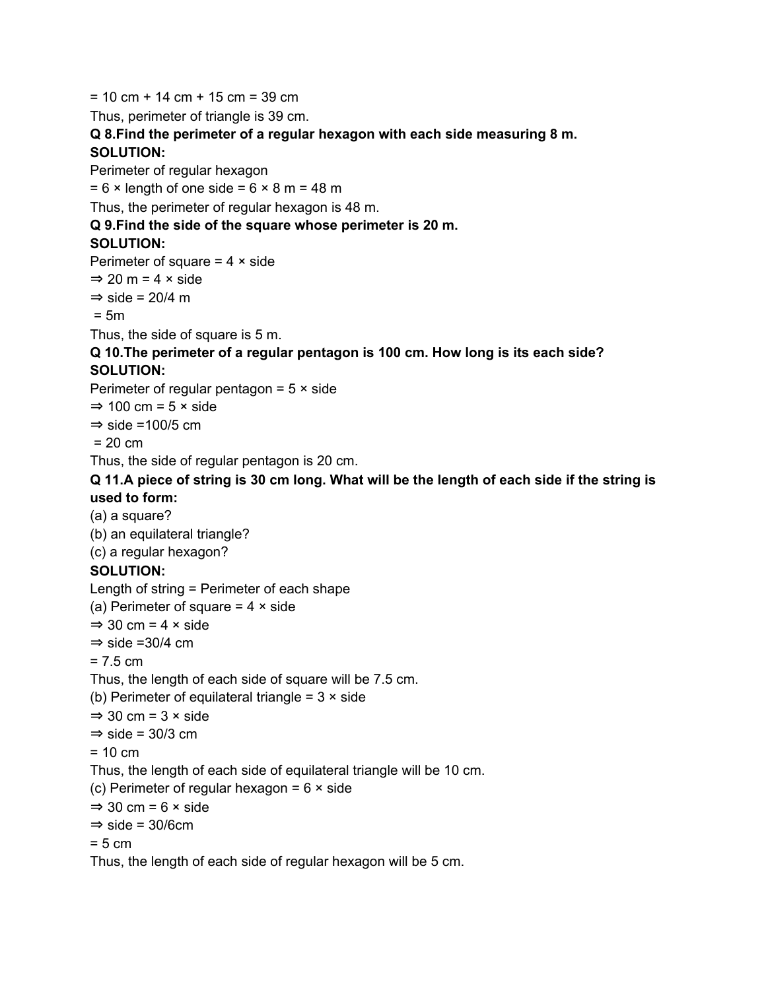$= 10$  cm + 14 cm + 15 cm = 39 cm Thus, perimeter of triangle is 39 cm. **Q 8.Find the perimeter of a regular hexagon with each side measuring 8 m. SOLUTION:** Perimeter of regular hexagon  $= 6 \times$  length of one side =  $6 \times 8$  m = 48 m Thus, the perimeter of regular hexagon is 48 m. **Q 9.Find the side of the square whose perimeter is 20 m. SOLUTION:** Perimeter of square  $= 4 \times$  side  $\Rightarrow$  20 m = 4 × side  $\Rightarrow$  side = 20/4 m  $= 5m$ Thus, the side of square is 5 m. **Q 10.The perimeter of a regular pentagon is 100 cm. How long is its each side? SOLUTION:** Perimeter of regular pentagon =  $5 \times$  side  $\Rightarrow$  100 cm = 5  $\times$  side  $\Rightarrow$  side =100/5 cm  $= 20$  cm Thus, the side of regular pentagon is 20 cm. Q 11.A piece of string is 30 cm long. What will be the length of each side if the string is **used to form:** (a) a square? (b) an equilateral triangle? (c) a regular hexagon? **SOLUTION:** Length of string = Perimeter of each shape (a) Perimeter of square  $= 4 \times$  side  $\Rightarrow$  30 cm = 4  $\times$  side  $\Rightarrow$  side =30/4 cm  $= 7.5 cm$ Thus, the length of each side of square will be 7.5 cm. (b) Perimeter of equilateral triangle =  $3 \times$  side  $\Rightarrow$  30 cm = 3 × side  $\Rightarrow$  side = 30/3 cm  $= 10$  cm Thus, the length of each side of equilateral triangle will be 10 cm. (c) Perimeter of regular hexagon =  $6 \times$  side  $\Rightarrow$  30 cm = 6  $\times$  side  $\Rightarrow$  side = 30/6cm  $= 5 cm$ Thus, the length of each side of regular hexagon will be 5 cm.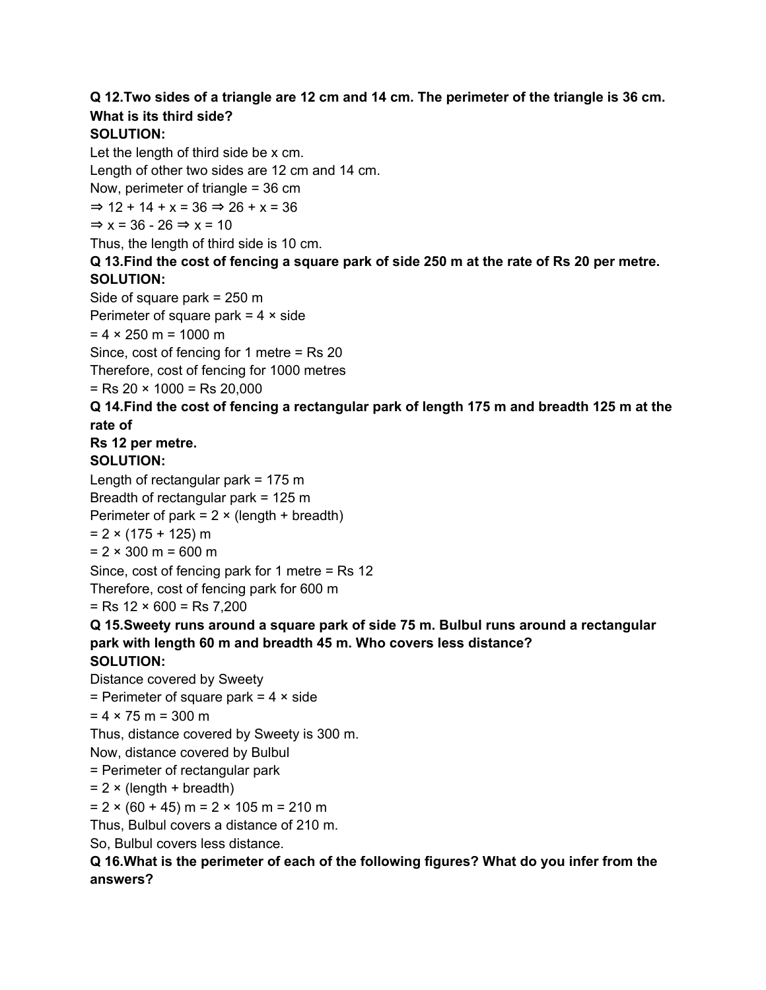## Q 12. Two sides of a triangle are 12 cm and 14 cm. The perimeter of the triangle is 36 cm. **What is its third side?**

### **SOLUTION:**

Let the length of third side be x cm. Length of other two sides are 12 cm and 14 cm. Now, perimeter of triangle = 36 cm  $\Rightarrow$  12 + 14 + x = 36  $\Rightarrow$  26 + x = 36  $\Rightarrow$  x = 36 - 26  $\Rightarrow$  x = 10

Thus, the length of third side is 10 cm. Q 13. Find the cost of fencing a square park of side 250 m at the rate of Rs 20 per metre.

## **SOLUTION:**

Side of square park = 250 m Perimeter of square park  $= 4 \times side$  $= 4 \times 250$  m = 1000 m Since, cost of fencing for 1 metre = Rs 20 Therefore, cost of fencing for 1000 metres

 $=$  Rs 20  $\times$  1000 = Rs 20,000

#### **Q 14.Find the cost of fencing a rectangular park of length 175 m and breadth 125 m at the rate of**

# **Rs 12 per metre.**

### **SOLUTION:**

Length of rectangular park  $= 175$  m

Breadth of rectangular park = 125 m

Perimeter of park =  $2 \times$  (length + breadth)

 $= 2 \times (175 + 125)$  m

 $= 2 \times 300$  m = 600 m

Since, cost of fencing park for 1 metre = Rs 12

Therefore, cost of fencing park for 600 m

 $=$  Rs 12  $\times$  600  $=$  Rs 7,200

## **Q 15.Sweety runs around a square park of side 75 m. Bulbul runs around a rectangular park with length 60 m and breadth 45 m. Who covers less distance?**

## **SOLUTION:**

Distance covered by Sweety = Perimeter of square park =  $4 \times$  side  $= 4 \times 75$  m = 300 m Thus, distance covered by Sweety is 300 m. Now, distance covered by Bulbul = Perimeter of rectangular park

 $= 2 \times (length + breadth)$ 

 $= 2 \times (60 + 45)$  m = 2  $\times$  105 m = 210 m

Thus, Bulbul covers a distance of 210 m.

So, Bulbul covers less distance.

### **Q 16.What is the perimeter of each of the following figures? What do you infer from the answers?**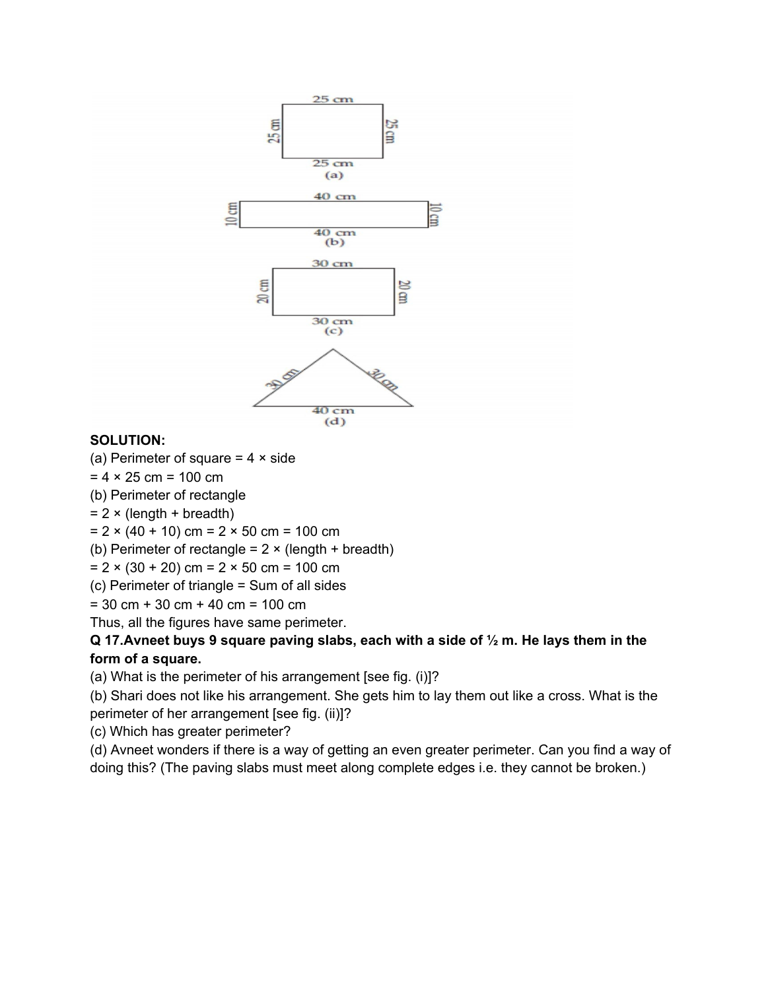

### **SOLUTION:**

(a) Perimeter of square  $= 4 \times$  side

 $= 4 \times 25$  cm = 100 cm

(b) Perimeter of rectangle

 $= 2 \times (length + breadth)$ 

 $= 2 \times (40 + 10)$  cm  $= 2 \times 50$  cm  $= 100$  cm

(b) Perimeter of rectangle =  $2 \times$  (length + breadth)

 $= 2 \times (30 + 20)$  cm  $= 2 \times 50$  cm  $= 100$  cm

(c) Perimeter of triangle = Sum of all sides

 $= 30$  cm + 30 cm + 40 cm = 100 cm

Thus, all the figures have same perimeter.

### **Q 17.Avneet buys 9 square paving slabs, each with a side of ½ m. He lays them in the form of a square.**

(a) What is the perimeter of his arrangement [see fig. (i)]?

(b) Shari does not like his arrangement. She gets him to lay them out like a cross. What is the perimeter of her arrangement [see fig. (ii)]?

(c) Which has greater perimeter?

(d) Avneet wonders if there is a way of getting an even greater perimeter. Can you find a way of doing this? (The paving slabs must meet along complete edges i.e. they cannot be broken.)